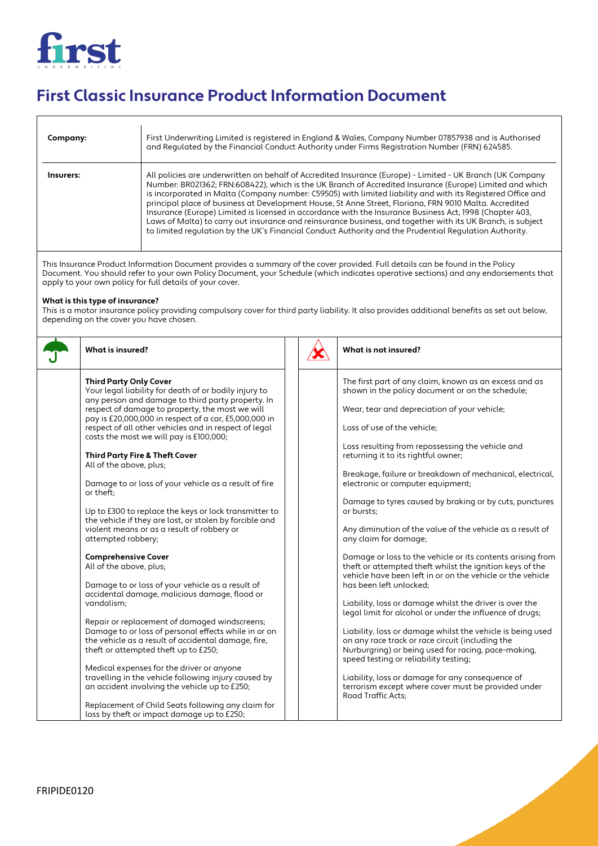

## **First Classic Insurance Product Information Document**

| Company:  | First Underwriting Limited is registered in England & Wales, Company Number 07857938 and is Authorised<br>and Regulated by the Financial Conduct Authority under Firms Registration Number (FRN) 624585.                                                                                                                                                                                                                                                                                                                                                                                                                                                                                                                                                                             |
|-----------|--------------------------------------------------------------------------------------------------------------------------------------------------------------------------------------------------------------------------------------------------------------------------------------------------------------------------------------------------------------------------------------------------------------------------------------------------------------------------------------------------------------------------------------------------------------------------------------------------------------------------------------------------------------------------------------------------------------------------------------------------------------------------------------|
| Insurers: | All policies are underwritten on behalf of Accredited Insurance (Europe) - Limited - UK Branch (UK Company<br>Number: BR021362; FRN:608422), which is the UK Branch of Accredited Insurance (Europe) Limited and which<br>is incorporated in Malta (Company number: C59505) with limited liability and with its Registered Office and<br>principal place of business at Development House, St Anne Street, Floriana, FRN 9010 Malta. Accredited<br>Insurance (Europe) Limited is licensed in accordance with the Insurance Business Act, 1998 (Chapter 403,<br>Laws of Malta) to carry out insurance and reinsurance business, and together with its UK Branch, is subject<br>to limited regulation by the UK's Financial Conduct Authority and the Prudential Regulation Authority. |

This Insurance Product Information Document provides a summary of the cover provided. Full details can be found in the Policy Document. You should refer to your own Policy Document, your Schedule (which indicates operative sections) and any endorsements that apply to your own policy for full details of your cover.

## **What is this type of insurance?**

This is a motor insurance policy providing compulsory cover for third party liability. It also provides additional benefits as set out below, depending on the cover you have chosen.

| What is insured?                                                                                                                                                                                                                                                                                                                                                                                                                                                                                                                                                                                                                                                                                                                                                                                                                                                                                                                                                                                                                                                                                                                                                                                                                                                                                  |  | What is not insured?                                                                                                                                                                                                                                                                                                                                                                                                                                                                                                                                                                                                                                                                                                                                                                                                                                                                                                                                                                                                                                                                                                                                                                                                                               |
|---------------------------------------------------------------------------------------------------------------------------------------------------------------------------------------------------------------------------------------------------------------------------------------------------------------------------------------------------------------------------------------------------------------------------------------------------------------------------------------------------------------------------------------------------------------------------------------------------------------------------------------------------------------------------------------------------------------------------------------------------------------------------------------------------------------------------------------------------------------------------------------------------------------------------------------------------------------------------------------------------------------------------------------------------------------------------------------------------------------------------------------------------------------------------------------------------------------------------------------------------------------------------------------------------|--|----------------------------------------------------------------------------------------------------------------------------------------------------------------------------------------------------------------------------------------------------------------------------------------------------------------------------------------------------------------------------------------------------------------------------------------------------------------------------------------------------------------------------------------------------------------------------------------------------------------------------------------------------------------------------------------------------------------------------------------------------------------------------------------------------------------------------------------------------------------------------------------------------------------------------------------------------------------------------------------------------------------------------------------------------------------------------------------------------------------------------------------------------------------------------------------------------------------------------------------------------|
| <b>Third Party Only Cover</b><br>Your legal liability for death of or bodily injury to<br>any person and damage to third party property. In<br>respect of damage to property, the most we will<br>pay is £20,000,000 in respect of a car, £5,000,000 in<br>respect of all other vehicles and in respect of legal<br>costs the most we will pay is £100,000;<br><b>Third Party Fire &amp; Theft Cover</b><br>All of the above, plus;<br>Damage to or loss of your vehicle as a result of fire<br>or theft:<br>Up to £300 to replace the keys or lock transmitter to<br>the vehicle if they are lost, or stolen by forcible and<br>violent means or as a result of robbery or<br>attempted robbery;<br><b>Comprehensive Cover</b><br>All of the above, plus;<br>Damage to or loss of your vehicle as a result of<br>accidental damage, malicious damage, flood or<br>vandalism:<br>Repair or replacement of damaged windscreens;<br>Damage to or loss of personal effects while in or on<br>the vehicle as a result of accidental damage, fire,<br>theft or attempted theft up to £250;<br>Medical expenses for the driver or anyone<br>travelling in the vehicle following injury caused by<br>an accident involving the vehicle up to £250;<br>Replacement of Child Seats following any claim for |  | The first part of any claim, known as an excess and as<br>shown in the policy document or on the schedule;<br>Wear, tear and depreciation of your vehicle;<br>Loss of use of the vehicle;<br>Loss resulting from repossessing the vehicle and<br>returning it to its rightful owner;<br>Breakage, failure or breakdown of mechanical, electrical,<br>electronic or computer equipment;<br>Damage to tyres caused by braking or by cuts, punctures<br>or bursts:<br>Any diminution of the value of the vehicle as a result of<br>any claim for damage;<br>Damage or loss to the vehicle or its contents arising from<br>theft or attempted theft whilst the ignition keys of the<br>vehicle have been left in or on the vehicle or the vehicle<br>has been left unlocked;<br>Liability, loss or damage whilst the driver is over the<br>legal limit for alcohol or under the influence of drugs;<br>Liability, loss or damage whilst the vehicle is being used<br>on any race track or race circuit (including the<br>Nurburgring) or being used for racing, pace-making,<br>speed testing or reliability testing;<br>Liability, loss or damage for any consequence of<br>terrorism except where cover must be provided under<br>Road Traffic Acts: |
| loss by theft or impact damage up to £250;                                                                                                                                                                                                                                                                                                                                                                                                                                                                                                                                                                                                                                                                                                                                                                                                                                                                                                                                                                                                                                                                                                                                                                                                                                                        |  |                                                                                                                                                                                                                                                                                                                                                                                                                                                                                                                                                                                                                                                                                                                                                                                                                                                                                                                                                                                                                                                                                                                                                                                                                                                    |